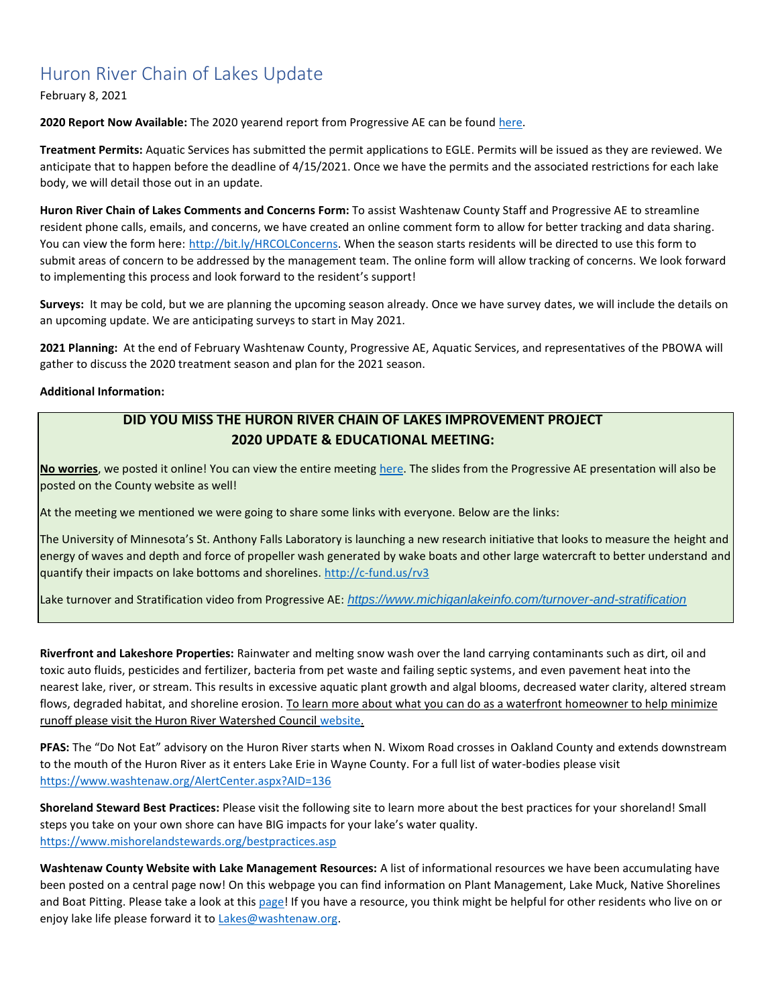## Huron River Chain of Lakes Update

## February 8, 2021

**2020 Report Now Available:** The 2020 yearend report from Progressive AE can be found here.

**Treatment Permits:** Aquatic Services has submitted the permit applications to EGLE. Permits will be issued as they are reviewed. We anticipate that to happen before the deadline of 4/15/2021. Once we have the permits and the associated restrictions for each lake body, we will detail those out in an update.

**Huron River Chain of Lakes Comments and Concerns Form:** To assist Washtenaw County Staff and Progressive AE to streamline resident phone calls, emails, and concerns, we have created an online comment form to allow for better tracking and data sharing. You can view the form here: [http://bit.ly/HRCOLConcerns.](https://gcc02.safelinks.protection.outlook.com/?url=http%3A%2F%2Fbit.ly%2FHRCOLConcerns&data=04%7C01%7Ckoloskil%40washtenaw.org%7C6a622974c24143abebd208d8c84e999f%7C940f79927c85414e8cb10632dd3a5282%7C0%7C0%7C637479587198163427%7CUnknown%7CTWFpbGZsb3d8eyJWIjoiMC4wLjAwMDAiLCJQIjoiV2luMzIiLCJBTiI6Ik1haWwiLCJXVCI6Mn0%3D%7C1000&sdata=yJ0KR77LtVnQXq36fAcvcp0TclE69cTj5Oe%2FtMo9kx0%3D&reserved=0) When the season starts residents will be directed to use this form to submit areas of concern to be addressed by the management team. The online form will allow tracking of concerns. We look forward to implementing this process and look forward to the resident's support!

**Surveys:** It may be cold, but we are planning the upcoming season already. Once we have survey dates, we will include the details on an upcoming update. We are anticipating surveys to start in May 2021.

**2021 Planning:** At the end of February Washtenaw County, Progressive AE, Aquatic Services, and representatives of the PBOWA will gather to discuss the 2020 treatment season and plan for the 2021 season.

## **Additional Information:**

## **DID YOU MISS THE HURON RIVER CHAIN OF LAKES IMPROVEMENT PROJECT 2020 UPDATE & EDUCATIONAL MEETING:**

**No worries**, we posted it online! You can view the entire meeting [here.](https://www.washtenaw.org/327/Chain-of-Lakes) The slides from the Progressive AE presentation will also be posted on the County website as well!

At the meeting we mentioned we were going to share some links with everyone. Below are the links:

The University of Minnesota's St. Anthony Falls Laboratory is launching a new research initiative that looks to measure the height and energy of waves and depth and force of propeller wash generated by wake boats and other large watercraft to better understand and quantify their impacts on lake bottoms and shorelines.<http://c-fund.us/rv3>

Lake turnover and Stratification video from Progressive AE: *[https://www.michiganlakeinfo.com/turnover-and-stratification](https://gcc01.safelinks.protection.outlook.com/?url=https%3A%2F%2Fwww.michiganlakeinfo.com%2Fturnover-and-stratification&data=02%7C01%7Ckoloskil%40washtenaw.org%7Ce570864482da4406257f08d8624f9fc0%7C940f79927c85414e8cb10632dd3a5282%7C1%7C0%7C637367441409233108&sdata=StcE3L0%2Fod69UCaxtggWQGu0PoSZcjo637JAyiVUK6I%3D&reserved=0)*

**Riverfront and Lakeshore Properties:** Rainwater and melting snow wash over the land carrying contaminants such as dirt, oil and toxic auto fluids, pesticides and fertilizer, bacteria from pet waste and failing septic systems, and even pavement heat into the nearest lake, river, or stream. This results in excessive aquatic plant growth and algal blooms, decreased water clarity, altered stream flows, degraded habitat, and shoreline erosion. To learn more about what you can do as a waterfront homeowner to help minimize runoff please visit the Huron River Watershed Council [website.](https://www.hrwc.org/take-action/at-home/riverfront-lakeshore-properties/)

**PFAS:** The "Do Not Eat" advisory on the Huron River starts when N. Wixom Road crosses in Oakland County and extends downstream to the mouth of the Huron River as it enters Lake Erie in Wayne County. For a full list of water-bodies please visit <https://www.washtenaw.org/AlertCenter.aspx?AID=136>

**Shoreland Steward Best Practices:** Please visit the following site to learn more about the best practices for your shoreland! Small steps you take on your own shore can have BIG impacts for your lake's water quality. [https://www.mishorelandstewards.org/bestpractices.asp](https://gcc01.safelinks.protection.outlook.com/?url=https%3A%2F%2Fwww.mishorelandstewards.org%2Fbestpractices.asp&data=02%7C01%7Ckoloskil%40washtenaw.org%7Cc1099d767abc47df4fd108d6ffc1b605%7C940f79927c85414e8cb10632dd3a5282%7C0%7C0%7C636977604786419415&sdata=y9VJuglOwLSYM%2F8PlrbVRfiz7aXv3RoGR2iMVcbKcuY%3D&reserved=0)

**Washtenaw County Website with Lake Management Resources:** A list of informational resources we have been accumulating have been posted on a central page now! On this webpage you can find information on Plant Management, Lake Muck, Native Shorelines and Boat Pitting. Please take a look at this [page!](https://www.washtenaw.org/3062/Lake-Management-Resources) If you have a resource, you think might be helpful for other residents who live on or enjoy lake life please forward it to [Lakes@washtenaw.org.](mailto:Lakes@washtenaw.org)